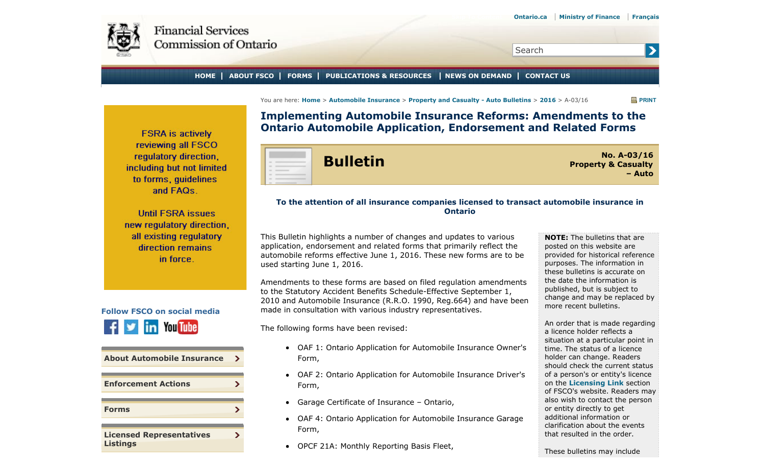<span id="page-0-0"></span>

Search

#### **HOME ABOUT FSCO FORMS PUBLICATIONS & RESOURCES NEWS ON DEMAND CONTACT US**

You are here: **Home** > **Automobile Insurance** > **Property and Casualty - Auto Bulletins** > **2016** > A-03/16 **PRINT**

 $\blacktriangleright$ 

**Implementing Automobile Insurance Reforms: Amendments to the Ontario Automobile Application, Endorsement and Related Forms**

**FSRA** is actively reviewing all FSCO regulatory direction. including but not limited to forms, quidelines and FAQs.

**Until FSRA issues** new regulatory direction, all existing regulatory direction remains in force.



| <b>About Automobile Insurance</b>                  | ⋗ |
|----------------------------------------------------|---|
| <b>Enforcement Actions</b>                         |   |
| <b>Forms</b>                                       |   |
| <b>Licensed Representatives</b><br><b>Listings</b> |   |



**Bulletin No. A-03/16 Property & Casualty – Auto**

### **To the attention of all insurance companies licensed to transact automobile insurance in Ontario**

This Bulletin highlights a number of changes and updates to various application, endorsement and related forms that primarily reflect the automobile reforms effective June 1, 2016. These new forms are to be used starting June 1, 2016.

Amendments to these forms are based on filed regulation amendments to the Statutory Accident Benefits Schedule-Effective September 1, 2010 and Automobile Insurance (R.R.O. 1990, Reg.664) and have been made in consultation with various industry representatives.

The following forms have been revised:

- OAF 1: Ontario Application for Automobile Insurance Owner's Form,
- OAF 2: Ontario Application for Automobile Insurance Driver's Form,
- Garage Certificate of Insurance Ontario,
- OAF 4: Ontario Application for Automobile Insurance Garage Form,
- OPCF 21A: Monthly Reporting Basis Fleet,

**NOTE:** The bulletins that are posted on this website are provided for historical reference purposes. The information in these bulletins is accurate on the date the information is published, but is subject to change and may be replaced by more recent bulletins.

An order that is made regarding a licence holder reflects a situation at a particular point in time. The status of a licence holder can change. Readers should check the current status of a person's or entity's licence on the **Licensing Link** section of FSCO's website. Readers may also wish to contact the person or entity directly to get additional information or clarification about the events that resulted in the order.

These bulletins may include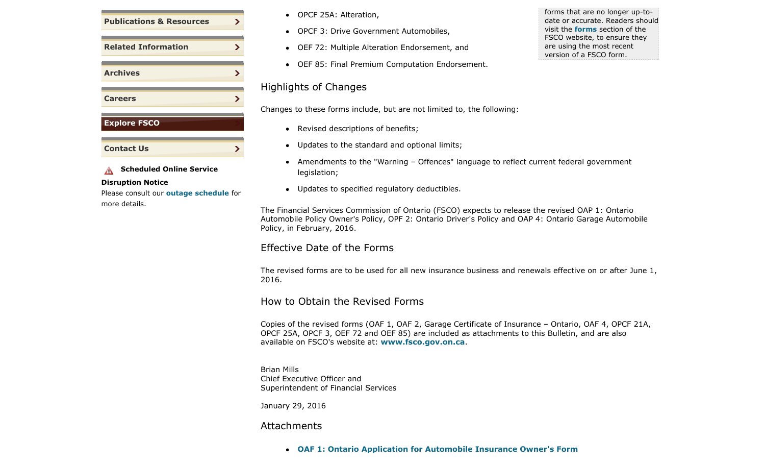

### **A** Scheduled Online Service

#### **Disruption Notice**

Please consult our **outage schedule** for more details.

- OPCF 25A: Alteration,
- OPCF 3: Drive Government Automobiles,
- OEF 72: Multiple Alteration Endorsement, and
- OEF 85: Final Premium Computation Endorsement.

# Highlights of Changes

Changes to these forms include, but are not limited to, the following:

- Revised descriptions of benefits;
- Updates to the standard and optional limits;
- Amendments to the "Warning Offences" language to reflect current federal government  $\bullet$ legislation;
- Updates to specified regulatory deductibles.

The Financial Services Commission of Ontario (FSCO) expects to release the revised OAP 1: Ontario Automobile Policy Owner's Policy, OPF 2: Ontario Driver's Policy and OAP 4: Ontario Garage Automobile Policy, in February, 2016.

## Effective Date of the Forms

The revised forms are to be used for all new insurance business and renewals effective on or after June 1, 2016.

# How to Obtain the Revised Forms

Copies of the revised forms (OAF 1, OAF 2, Garage Certificate of Insurance – Ontario, OAF 4, OPCF 21A, OPCF 25A, OPCF 3, OEF 72 and OEF 85) are included as attachments to this Bulletin, and are also available on FSCO's website at: **www.fsco.gov.on.ca**.

Brian Mills Chief Executive Officer and Superintendent of Financial Services

January 29, 2016

## Attachments

**OAF 1: Ontario Application for Automobile Insurance Owner's Form**

forms that are no longer up-todate or accurate. Readers should visit the **forms** section of the FSCO website, to ensure they are using the most recent version of a FSCO form.